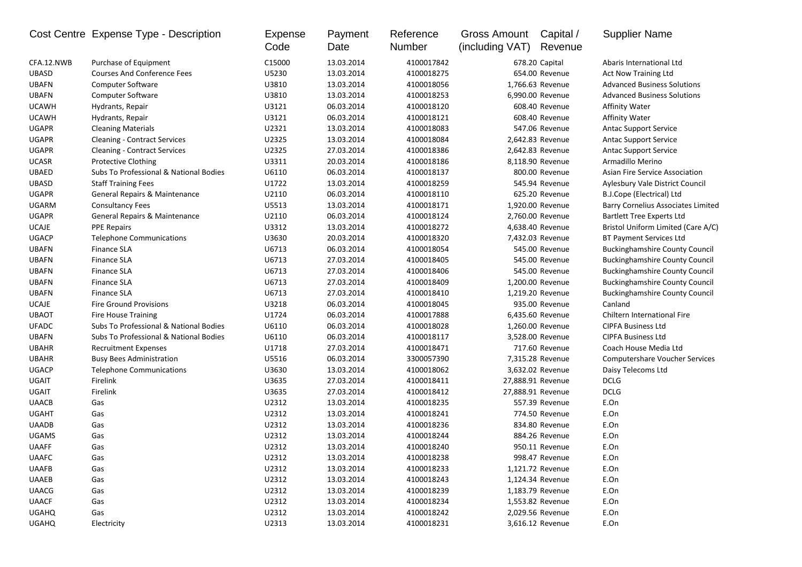|              | Cost Centre Expense Type - Description | Expense<br>Code | Payment<br>Date | Reference<br>Number | <b>Gross Amount</b><br>(including VAT) | Capital /<br>Revenue | <b>Supplier Name</b>                      |
|--------------|----------------------------------------|-----------------|-----------------|---------------------|----------------------------------------|----------------------|-------------------------------------------|
| CFA.12.NWB   | Purchase of Equipment                  | C15000          | 13.03.2014      | 4100017842          |                                        | 678.20 Capital       | Abaris International Ltd                  |
| <b>UBASD</b> | <b>Courses And Conference Fees</b>     | U5230           | 13.03.2014      | 4100018275          |                                        | 654.00 Revenue       | Act Now Training Ltd                      |
| <b>UBAFN</b> | Computer Software                      | U3810           | 13.03.2014      | 4100018056          |                                        | 1.766.63 Revenue     | <b>Advanced Business Solutions</b>        |
| <b>UBAFN</b> | Computer Software                      | U3810           | 13.03.2014      | 4100018253          |                                        | 6,990.00 Revenue     | <b>Advanced Business Solutions</b>        |
| <b>UCAWH</b> | Hydrants, Repair                       | U3121           | 06.03.2014      | 4100018120          |                                        | 608.40 Revenue       | <b>Affinity Water</b>                     |
| <b>UCAWH</b> | Hydrants, Repair                       | U3121           | 06.03.2014      | 4100018121          |                                        | 608.40 Revenue       | <b>Affinity Water</b>                     |
| <b>UGAPR</b> | <b>Cleaning Materials</b>              | U2321           | 13.03.2014      | 4100018083          |                                        | 547.06 Revenue       | <b>Antac Support Service</b>              |
| <b>UGAPR</b> | <b>Cleaning - Contract Services</b>    | U2325           | 13.03.2014      | 4100018084          |                                        | 2,642.83 Revenue     | <b>Antac Support Service</b>              |
| <b>UGAPR</b> | <b>Cleaning - Contract Services</b>    | U2325           | 27.03.2014      | 4100018386          |                                        | 2,642.83 Revenue     | <b>Antac Support Service</b>              |
| <b>UCASR</b> | <b>Protective Clothing</b>             | U3311           | 20.03.2014      | 4100018186          |                                        | 8,118.90 Revenue     | Armadillo Merino                          |
| <b>UBAED</b> | Subs To Professional & National Bodies | U6110           | 06.03.2014      | 4100018137          |                                        | 800.00 Revenue       | <b>Asian Fire Service Association</b>     |
| <b>UBASD</b> | <b>Staff Training Fees</b>             | U1722           | 13.03.2014      | 4100018259          |                                        | 545.94 Revenue       | Aylesbury Vale District Council           |
| <b>UGAPR</b> | General Repairs & Maintenance          | U2110           | 06.03.2014      | 4100018110          |                                        | 625.20 Revenue       | B.J.Cope (Electrical) Ltd                 |
| UGARM        | <b>Consultancy Fees</b>                | U5513           | 13.03.2014      | 4100018171          |                                        | 1,920.00 Revenue     | <b>Barry Cornelius Associates Limited</b> |
| <b>UGAPR</b> | General Repairs & Maintenance          | U2110           | 06.03.2014      | 4100018124          |                                        | 2,760.00 Revenue     | <b>Bartlett Tree Experts Ltd</b>          |
| <b>UCAJE</b> | <b>PPE Repairs</b>                     | U3312           | 13.03.2014      | 4100018272          |                                        | 4,638.40 Revenue     | Bristol Uniform Limited (Care A/C)        |
| <b>UGACP</b> | <b>Telephone Communications</b>        | U3630           | 20.03.2014      | 4100018320          |                                        | 7,432.03 Revenue     | BT Payment Services Ltd                   |
| <b>UBAFN</b> | <b>Finance SLA</b>                     | U6713           | 06.03.2014      | 4100018054          |                                        | 545.00 Revenue       | <b>Buckinghamshire County Council</b>     |
| <b>UBAFN</b> | <b>Finance SLA</b>                     | U6713           | 27.03.2014      | 4100018405          |                                        | 545.00 Revenue       | <b>Buckinghamshire County Council</b>     |
| <b>UBAFN</b> | <b>Finance SLA</b>                     | U6713           | 27.03.2014      | 4100018406          |                                        | 545.00 Revenue       | <b>Buckinghamshire County Council</b>     |
| <b>UBAFN</b> | <b>Finance SLA</b>                     | U6713           | 27.03.2014      | 4100018409          |                                        | 1,200.00 Revenue     | <b>Buckinghamshire County Council</b>     |
| <b>UBAFN</b> | <b>Finance SLA</b>                     | U6713           | 27.03.2014      | 4100018410          |                                        | 1,219.20 Revenue     | <b>Buckinghamshire County Council</b>     |
| <b>UCAJE</b> | <b>Fire Ground Provisions</b>          | U3218           | 06.03.2014      | 4100018045          |                                        | 935.00 Revenue       | Canland                                   |
| <b>UBAOT</b> | <b>Fire House Training</b>             | U1724           | 06.03.2014      | 4100017888          |                                        | 6,435.60 Revenue     | Chiltern International Fire               |
| <b>UFADC</b> | Subs To Professional & National Bodies | U6110           | 06.03.2014      | 4100018028          |                                        | 1,260.00 Revenue     | <b>CIPFA Business Ltd</b>                 |
| <b>UBAFN</b> | Subs To Professional & National Bodies | U6110           | 06.03.2014      | 4100018117          |                                        | 3,528.00 Revenue     | <b>CIPFA Business Ltd</b>                 |
| <b>UBAHR</b> | <b>Recruitment Expenses</b>            | U1718           | 27.03.2014      | 4100018471          |                                        | 717.60 Revenue       | Coach House Media Ltd                     |
| <b>UBAHR</b> | <b>Busy Bees Administration</b>        | U5516           | 06.03.2014      | 3300057390          |                                        | 7,315.28 Revenue     | <b>Computershare Voucher Services</b>     |
| <b>UGACP</b> | <b>Telephone Communications</b>        | U3630           | 13.03.2014      | 4100018062          |                                        | 3,632.02 Revenue     | Daisy Telecoms Ltd                        |
| UGAIT        | Firelink                               | U3635           | 27.03.2014      | 4100018411          | 27,888.91 Revenue                      |                      | <b>DCLG</b>                               |
| UGAIT        | Firelink                               | U3635           | 27.03.2014      | 4100018412          | 27,888.91 Revenue                      |                      | <b>DCLG</b>                               |
| <b>UAACB</b> | Gas                                    | U2312           | 13.03.2014      | 4100018235          |                                        | 557.39 Revenue       | E.On                                      |
| <b>UGAHT</b> | Gas                                    | U2312           | 13.03.2014      | 4100018241          |                                        | 774.50 Revenue       | E.On                                      |
| <b>UAADB</b> | Gas                                    | U2312           | 13.03.2014      | 4100018236          |                                        | 834.80 Revenue       | E.On                                      |
| <b>UGAMS</b> | Gas                                    | U2312           | 13.03.2014      | 4100018244          |                                        | 884.26 Revenue       | E.On                                      |
| <b>UAAFF</b> | Gas                                    | U2312           | 13.03.2014      | 4100018240          |                                        | 950.11 Revenue       | E.On                                      |
| <b>UAAFC</b> | Gas                                    | U2312           | 13.03.2014      | 4100018238          |                                        | 998.47 Revenue       | E.On                                      |
| <b>UAAFB</b> | Gas                                    | U2312           | 13.03.2014      | 4100018233          |                                        | 1,121.72 Revenue     | E.On                                      |
| <b>UAAEB</b> | Gas                                    | U2312           | 13.03.2014      | 4100018243          |                                        | 1,124.34 Revenue     | E.On                                      |
| <b>UAACG</b> | Gas                                    | U2312           | 13.03.2014      | 4100018239          |                                        | 1,183.79 Revenue     | E.On                                      |
| <b>UAACF</b> | Gas                                    | U2312           | 13.03.2014      | 4100018234          |                                        | 1,553.82 Revenue     | E.On                                      |
| <b>UGAHQ</b> | Gas                                    | U2312           | 13.03.2014      | 4100018242          |                                        | 2,029.56 Revenue     | E.On                                      |
| <b>UGAHQ</b> | Electricity                            | U2313           | 13.03.2014      | 4100018231          |                                        | 3,616.12 Revenue     | E.On                                      |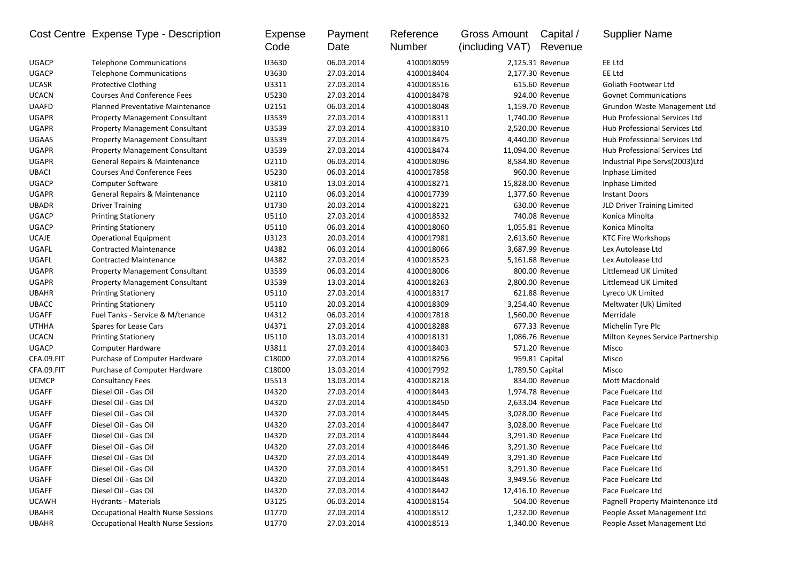|              | Cost Centre Expense Type - Description    | Expense<br>Code | Payment<br>Date | Reference<br>Number | <b>Gross Amount</b><br>(including VAT) | Capital /<br>Revenue | <b>Supplier Name</b>              |
|--------------|-------------------------------------------|-----------------|-----------------|---------------------|----------------------------------------|----------------------|-----------------------------------|
| <b>UGACP</b> | <b>Telephone Communications</b>           | U3630           | 06.03.2014      | 4100018059          |                                        | 2,125.31 Revenue     | EE Ltd                            |
| <b>UGACP</b> | <b>Telephone Communications</b>           | U3630           | 27.03.2014      | 4100018404          |                                        | 2,177.30 Revenue     | EE Ltd                            |
| <b>UCASR</b> | Protective Clothing                       | U3311           | 27.03.2014      | 4100018516          |                                        | 615.60 Revenue       | <b>Goliath Footwear Ltd</b>       |
| <b>UCACN</b> | <b>Courses And Conference Fees</b>        | U5230           | 27.03.2014      | 4100018478          |                                        | 924.00 Revenue       | <b>Govnet Communications</b>      |
| <b>UAAFD</b> | <b>Planned Preventative Maintenance</b>   | U2151           | 06.03.2014      | 4100018048          |                                        | 1,159.70 Revenue     | Grundon Waste Management Ltd      |
| <b>UGAPR</b> | <b>Property Management Consultant</b>     | U3539           | 27.03.2014      | 4100018311          |                                        | 1,740.00 Revenue     | Hub Professional Services Ltd     |
| <b>UGAPR</b> | <b>Property Management Consultant</b>     | U3539           | 27.03.2014      | 4100018310          |                                        | 2,520.00 Revenue     | Hub Professional Services Ltd     |
| <b>UGAAS</b> | <b>Property Management Consultant</b>     | U3539           | 27.03.2014      | 4100018475          |                                        | 4,440.00 Revenue     | Hub Professional Services Ltd     |
| <b>UGAPR</b> | <b>Property Management Consultant</b>     | U3539           | 27.03.2014      | 4100018474          |                                        | 11,094.00 Revenue    | Hub Professional Services Ltd     |
| <b>UGAPR</b> | General Repairs & Maintenance             | U2110           | 06.03.2014      | 4100018096          |                                        | 8,584.80 Revenue     | Industrial Pipe Servs(2003)Ltd    |
| <b>UBACI</b> | <b>Courses And Conference Fees</b>        | U5230           | 06.03.2014      | 4100017858          |                                        | 960.00 Revenue       | Inphase Limited                   |
| <b>UGACP</b> | <b>Computer Software</b>                  | U3810           | 13.03.2014      | 4100018271          |                                        | 15,828.00 Revenue    | Inphase Limited                   |
| <b>UGAPR</b> | General Repairs & Maintenance             | U2110           | 06.03.2014      | 4100017739          |                                        | 1,377.60 Revenue     | <b>Instant Doors</b>              |
| <b>UBADR</b> | <b>Driver Training</b>                    | U1730           | 20.03.2014      | 4100018221          |                                        | 630.00 Revenue       | JLD Driver Training Limited       |
| <b>UGACP</b> | <b>Printing Stationery</b>                | U5110           | 27.03.2014      | 4100018532          |                                        | 740.08 Revenue       | Konica Minolta                    |
| <b>UGACP</b> | <b>Printing Stationery</b>                | U5110           | 06.03.2014      | 4100018060          |                                        | 1,055.81 Revenue     | Konica Minolta                    |
| <b>UCAJE</b> | <b>Operational Equipment</b>              | U3123           | 20.03.2014      | 4100017981          |                                        | 2,613.60 Revenue     | <b>KTC Fire Workshops</b>         |
| UGAFL        | <b>Contracted Maintenance</b>             | U4382           | 06.03.2014      | 4100018066          |                                        | 3,687.99 Revenue     | Lex Autolease Ltd                 |
| UGAFL        | <b>Contracted Maintenance</b>             | U4382           | 27.03.2014      | 4100018523          |                                        | 5,161.68 Revenue     | Lex Autolease Ltd                 |
| <b>UGAPR</b> | <b>Property Management Consultant</b>     | U3539           | 06.03.2014      | 4100018006          |                                        | 800.00 Revenue       | Littlemead UK Limited             |
| <b>UGAPR</b> | <b>Property Management Consultant</b>     | U3539           | 13.03.2014      | 4100018263          |                                        | 2,800.00 Revenue     | Littlemead UK Limited             |
| <b>UBAHR</b> | <b>Printing Stationery</b>                | U5110           | 27.03.2014      | 4100018317          |                                        | 621.88 Revenue       | Lyreco UK Limited                 |
| <b>UBACC</b> | <b>Printing Stationery</b>                | U5110           | 20.03.2014      | 4100018309          |                                        | 3,254.40 Revenue     | Meltwater (Uk) Limited            |
| <b>UGAFF</b> | Fuel Tanks - Service & M/tenance          | U4312           | 06.03.2014      | 4100017818          |                                        | 1,560.00 Revenue     | Merridale                         |
| <b>UTHHA</b> | Spares for Lease Cars                     | U4371           | 27.03.2014      | 4100018288          |                                        | 677.33 Revenue       | Michelin Tyre Plc                 |
| <b>UCACN</b> | <b>Printing Stationery</b>                | U5110           | 13.03.2014      | 4100018131          |                                        | 1,086.76 Revenue     | Milton Keynes Service Partnership |
| <b>UGACP</b> | Computer Hardware                         | U3811           | 27.03.2014      | 4100018403          |                                        | 571.20 Revenue       | Misco                             |
| CFA.09.FIT   | Purchase of Computer Hardware             | C18000          | 27.03.2014      | 4100018256          |                                        | 959.81 Capital       | Misco                             |
| CFA.09.FIT   | Purchase of Computer Hardware             | C18000          | 13.03.2014      | 4100017992          | 1,789.50 Capital                       |                      | Misco                             |
| <b>UCMCP</b> | <b>Consultancy Fees</b>                   | U5513           | 13.03.2014      | 4100018218          |                                        | 834.00 Revenue       | Mott Macdonald                    |
| <b>UGAFF</b> | Diesel Oil - Gas Oil                      | U4320           | 27.03.2014      | 4100018443          |                                        | 1,974.78 Revenue     | Pace Fuelcare Ltd                 |
| UGAFF        | Diesel Oil - Gas Oil                      | U4320           | 27.03.2014      | 4100018450          |                                        | 2,633.04 Revenue     | Pace Fuelcare Ltd                 |
| UGAFF        | Diesel Oil - Gas Oil                      | U4320           | 27.03.2014      | 4100018445          |                                        | 3,028.00 Revenue     | Pace Fuelcare Ltd                 |
| <b>UGAFF</b> | Diesel Oil - Gas Oil                      | U4320           | 27.03.2014      | 4100018447          |                                        | 3,028.00 Revenue     | Pace Fuelcare Ltd                 |
| <b>UGAFF</b> | Diesel Oil - Gas Oil                      | U4320           | 27.03.2014      | 4100018444          |                                        | 3,291.30 Revenue     | Pace Fuelcare Ltd                 |
| <b>UGAFF</b> | Diesel Oil - Gas Oil                      | U4320           | 27.03.2014      | 4100018446          |                                        | 3,291.30 Revenue     | Pace Fuelcare Ltd                 |
| UGAFF        | Diesel Oil - Gas Oil                      | U4320           | 27.03.2014      | 4100018449          |                                        | 3,291.30 Revenue     | Pace Fuelcare Ltd                 |
| UGAFF        | Diesel Oil - Gas Oil                      | U4320           | 27.03.2014      | 4100018451          |                                        | 3,291.30 Revenue     | Pace Fuelcare Ltd                 |
| UGAFF        | Diesel Oil - Gas Oil                      | U4320           | 27.03.2014      | 4100018448          |                                        | 3,949.56 Revenue     | Pace Fuelcare Ltd                 |
| UGAFF        | Diesel Oil - Gas Oil                      | U4320           | 27.03.2014      | 4100018442          |                                        | 12,416.10 Revenue    | Pace Fuelcare Ltd                 |
| <b>UCAWH</b> | Hydrants - Materials                      | U3125           | 06.03.2014      | 4100018154          |                                        | 504.00 Revenue       | Pagnell Property Maintenance Ltd  |
| <b>UBAHR</b> | <b>Occupational Health Nurse Sessions</b> | U1770           | 27.03.2014      | 4100018512          |                                        | 1,232.00 Revenue     | People Asset Management Ltd       |
| <b>UBAHR</b> | <b>Occupational Health Nurse Sessions</b> | U1770           | 27.03.2014      | 4100018513          |                                        | 1,340.00 Revenue     | People Asset Management Ltd       |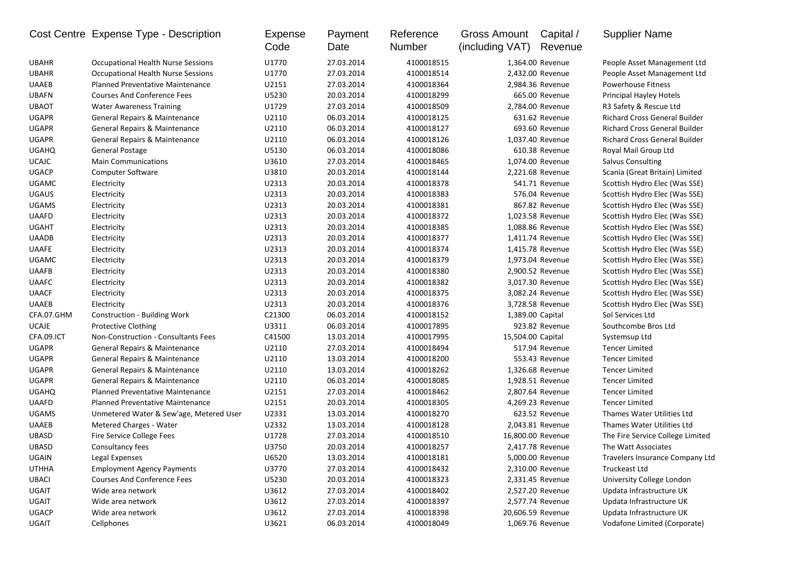|              | Cost Centre Expense Type - Description    | <b>Expense</b><br>Code | Payment<br>Date | Reference<br>Number | <b>Gross Amount</b><br>(including VAT) | Capital /<br>Revenue | <b>Supplier Name</b>                 |
|--------------|-------------------------------------------|------------------------|-----------------|---------------------|----------------------------------------|----------------------|--------------------------------------|
| <b>UBAHR</b> | <b>Occupational Health Nurse Sessions</b> | U1770                  | 27.03.2014      | 4100018515          |                                        | 1,364.00 Revenue     | People Asset Management Ltd          |
| <b>UBAHR</b> | <b>Occupational Health Nurse Sessions</b> | U1770                  | 27.03.2014      | 4100018514          |                                        | 2,432.00 Revenue     | People Asset Management Ltd          |
| <b>UAAEB</b> | <b>Planned Preventative Maintenance</b>   | U2151                  | 27.03.2014      | 4100018364          |                                        | 2,984.36 Revenue     | Powerhouse Fitness                   |
| <b>UBAFN</b> | <b>Courses And Conference Fees</b>        | U5230                  | 20.03.2014      | 4100018299          |                                        | 665.00 Revenue       | Principal Hayley Hotels              |
| <b>UBAOT</b> | <b>Water Awareness Training</b>           | U1729                  | 27.03.2014      | 4100018509          |                                        | 2,784.00 Revenue     | R3 Safety & Rescue Ltd               |
| UGAPR        | General Repairs & Maintenance             | U2110                  | 06.03.2014      | 4100018125          |                                        | 631.62 Revenue       | <b>Richard Cross General Builder</b> |
| <b>UGAPR</b> | <b>General Repairs &amp; Maintenance</b>  | U2110                  | 06.03.2014      | 4100018127          |                                        | 693.60 Revenue       | <b>Richard Cross General Builder</b> |
| <b>UGAPR</b> | General Repairs & Maintenance             | U2110                  | 06.03.2014      | 4100018126          |                                        | 1,037.40 Revenue     | <b>Richard Cross General Builder</b> |
| <b>UGAHQ</b> | General Postage                           | U5130                  | 06.03.2014      | 4100018086          |                                        | 610.38 Revenue       | Royal Mail Group Ltd                 |
| <b>UCAJC</b> | <b>Main Communications</b>                | U3610                  | 27.03.2014      | 4100018465          |                                        | 1,074.00 Revenue     | Salvus Consulting                    |
| <b>UGACP</b> | <b>Computer Software</b>                  | U3810                  | 20.03.2014      | 4100018144          |                                        | 2,221.68 Revenue     | Scania (Great Britain) Limited       |
| <b>UGAMC</b> | Electricity                               | U2313                  | 20.03.2014      | 4100018378          |                                        | 541.71 Revenue       | Scottish Hydro Elec (Was SSE)        |
| <b>UGAUS</b> | Electricity                               | U2313                  | 20.03.2014      | 4100018383          |                                        | 576.04 Revenue       | Scottish Hydro Elec (Was SSE)        |
| <b>UGAMS</b> | Electricity                               | U2313                  | 20.03.2014      | 4100018381          |                                        | 867.82 Revenue       | Scottish Hydro Elec (Was SSE)        |
| <b>UAAFD</b> | Electricity                               | U2313                  | 20.03.2014      | 4100018372          |                                        | 1,023.58 Revenue     | Scottish Hydro Elec (Was SSE)        |
| UGAHT        | Electricity                               | U2313                  | 20.03.2014      | 4100018385          |                                        | 1,088.86 Revenue     | Scottish Hydro Elec (Was SSE)        |
| <b>UAADB</b> | Electricity                               | U2313                  | 20.03.2014      | 4100018377          |                                        | 1,411.74 Revenue     | Scottish Hydro Elec (Was SSE)        |
| <b>UAAFE</b> | Electricity                               | U2313                  | 20.03.2014      | 4100018374          |                                        | 1,415.78 Revenue     | Scottish Hydro Elec (Was SSE)        |
| UGAMC        | Electricity                               | U2313                  | 20.03.2014      | 4100018379          |                                        | 1,973.04 Revenue     | Scottish Hydro Elec (Was SSE)        |
| <b>UAAFB</b> | Electricity                               | U2313                  | 20.03.2014      | 4100018380          |                                        | 2,900.52 Revenue     | Scottish Hydro Elec (Was SSE)        |
| <b>UAAFC</b> | Electricity                               | U2313                  | 20.03.2014      | 4100018382          |                                        | 3,017.30 Revenue     | Scottish Hydro Elec (Was SSE)        |
| <b>UAACF</b> | Electricity                               | U2313                  | 20.03.2014      | 4100018375          |                                        | 3,082.24 Revenue     | Scottish Hydro Elec (Was SSE)        |
| <b>UAAEB</b> | Electricity                               | U2313                  | 20.03.2014      | 4100018376          |                                        | 3,728.58 Revenue     | Scottish Hydro Elec (Was SSE)        |
| CFA.07.GHM   | Construction - Building Work              | C21300                 | 06.03.2014      | 4100018152          |                                        | 1,389.00 Capital     | Sol Services Ltd                     |
| <b>UCAJE</b> | <b>Protective Clothing</b>                | U3311                  | 06.03.2014      | 4100017895          |                                        | 923.82 Revenue       | Southcombe Bros Ltd                  |
| CFA.09.ICT   | Non-Construction - Consultants Fees       | C41500                 | 13.03.2014      | 4100017995          | 15,504.00 Capital                      |                      | Systemsup Ltd                        |
| <b>UGAPR</b> | General Repairs & Maintenance             | U2110                  | 27.03.2014      | 4100018494          |                                        | 517.94 Revenue       | <b>Tencer Limited</b>                |
| <b>UGAPR</b> | General Repairs & Maintenance             | U2110                  | 13.03.2014      | 4100018200          |                                        | 553.43 Revenue       | <b>Tencer Limited</b>                |
| <b>UGAPR</b> | General Repairs & Maintenance             | U2110                  | 13.03.2014      | 4100018262          |                                        | 1,326.68 Revenue     | <b>Tencer Limited</b>                |
| <b>UGAPR</b> | General Repairs & Maintenance             | U2110                  | 06.03.2014      | 4100018085          |                                        | 1,928.51 Revenue     | <b>Tencer Limited</b>                |
| <b>UGAHQ</b> | <b>Planned Preventative Maintenance</b>   | U2151                  | 27.03.2014      | 4100018462          |                                        | 2,807.64 Revenue     | <b>Tencer Limited</b>                |
| <b>UAAFD</b> | <b>Planned Preventative Maintenance</b>   | U2151                  | 20.03.2014      | 4100018305          |                                        | 4,269.23 Revenue     | <b>Tencer Limited</b>                |
| <b>UGAMS</b> | Unmetered Water & Sew'age, Metered User   | U2331                  | 13.03.2014      | 4100018270          |                                        | 623.52 Revenue       | Thames Water Utilities Ltd           |
| <b>UAAEB</b> | Metered Charges - Water                   | U2332                  | 13.03.2014      | 4100018128          |                                        | 2,043.81 Revenue     | Thames Water Utilities Ltd           |
| UBASD        | Fire Service College Fees                 | U1728                  | 27.03.2014      | 4100018510          |                                        | 16,800.00 Revenue    | The Fire Service College Limited     |
| <b>UBASD</b> | Consultancy fees                          | U3750                  | 20.03.2014      | 4100018257          |                                        | 2,417.78 Revenue     | The Watt Associates                  |
| UGAIN        | Legal Expenses                            | U6520                  | 13.03.2014      | 4100018181          |                                        | 5,000.00 Revenue     | Travelers Insurance Company Ltd      |
| <b>UTHHA</b> | <b>Employment Agency Payments</b>         | U3770                  | 27.03.2014      | 4100018432          |                                        | 2,310.00 Revenue     | Truckeast Ltd                        |
| UBACI        | <b>Courses And Conference Fees</b>        | U5230                  | 20.03.2014      | 4100018323          |                                        | 2,331.45 Revenue     | University College London            |
| UGAIT        | Wide area network                         | U3612                  | 27.03.2014      | 4100018402          |                                        | 2,527.20 Revenue     | Updata Infrastructure UK             |
| UGAIT        | Wide area network                         | U3612                  | 27.03.2014      | 4100018397          |                                        | 2,577.74 Revenue     | Updata Infrastructure UK             |
| UGACP        | Wide area network                         | U3612                  | 27.03.2014      | 4100018398          |                                        | 20,606.59 Revenue    | Updata Infrastructure UK             |
| UGAIT        | Cellphones                                | U3621                  | 06.03.2014      | 4100018049          |                                        | 1,069.76 Revenue     | Vodafone Limited (Corporate)         |